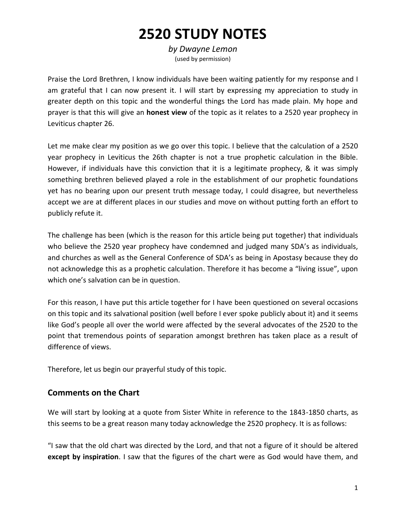# **2520 STUDY NOTES**

*by Dwayne Lemon* (used by permission)

Praise the Lord Brethren, I know individuals have been waiting patiently for my response and I am grateful that I can now present it. I will start by expressing my appreciation to study in greater depth on this topic and the wonderful things the Lord has made plain. My hope and prayer is that this will give an **honest view** of the topic as it relates to a 2520 year prophecy in Leviticus chapter 26.

Let me make clear my position as we go over this topic. I believe that the calculation of a 2520 year prophecy in Leviticus the 26th chapter is not a true prophetic calculation in the Bible. However, if individuals have this conviction that it is a legitimate prophecy, & it was simply something brethren believed played a role in the establishment of our prophetic foundations yet has no bearing upon our present truth message today, I could disagree, but nevertheless accept we are at different places in our studies and move on without putting forth an effort to publicly refute it.

The challenge has been (which is the reason for this article being put together) that individuals who believe the 2520 year prophecy have condemned and judged many SDA's as individuals, and churches as well as the General Conference of SDA's as being in Apostasy because they do not acknowledge this as a prophetic calculation. Therefore it has become a "living issue", upon which one's salvation can be in question.

For this reason, I have put this article together for I have been questioned on several occasions on this topic and its salvational position (well before I ever spoke publicly about it) and it seems like God's people all over the world were affected by the several advocates of the 2520 to the point that tremendous points of separation amongst brethren has taken place as a result of difference of views.

Therefore, let us begin our prayerful study of this topic.

#### **Comments on the Chart**

We will start by looking at a quote from Sister White in reference to the 1843-1850 charts, as this seems to be a great reason many today acknowledge the 2520 prophecy. It is as follows:

"I saw that the old chart was directed by the Lord, and that not a figure of it should be altered **except by inspiration**. I saw that the figures of the chart were as God would have them, and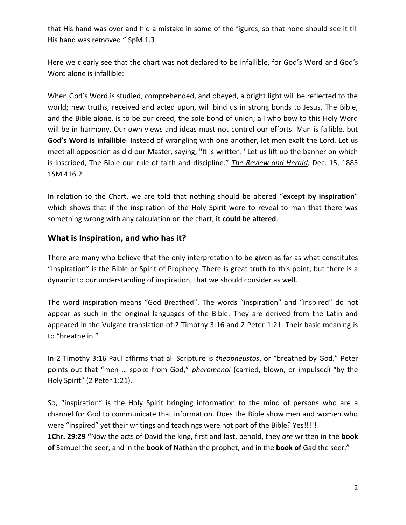that His hand was over and hid a mistake in some of the figures, so that none should see it till His hand was removed." SpM 1.3

Here we clearly see that the chart was not declared to be infallible, for God's Word and God's Word alone is infallible:

When God's Word is studied, comprehended, and obeyed, a bright light will be reflected to the world; new truths, received and acted upon, will bind us in strong bonds to Jesus. The Bible, and the Bible alone, is to be our creed, the sole bond of union; all who bow to this Holy Word will be in harmony. Our own views and ideas must not control our efforts. Man is fallible, but **God's Word is infallible**. Instead of wrangling with one another, let men exalt the Lord. Let us meet all opposition as did our Master, saying, "It is written." Let us lift up the banner on which is inscribed, The Bible our rule of faith and discipline." *The Review and Herald,* Dec. 15, 1885 1SM 416.2

In relation to the Chart, we are told that nothing should be altered "**except by inspiration**" which shows that if the inspiration of the Holy Spirit were to reveal to man that there was something wrong with any calculation on the chart, **it could be altered**.

#### **What is Inspiration, and who has it?**

There are many who believe that the only interpretation to be given as far as what constitutes "Inspiration" is the Bible or Spirit of Prophecy. There is great truth to this point, but there is a dynamic to our understanding of inspiration, that we should consider as well.

The word inspiration means "God Breathed". The words "inspiration" and "inspired" do not appear as such in the original languages of the Bible. They are derived from the Latin and appeared in the Vulgate translation of 2 Timothy 3:16 and 2 Peter 1:21. Their basic meaning is to "breathe in."

In 2 Timothy 3:16 Paul affirms that all Scripture is *theopneustos*, or "breathed by God." Peter points out that "men … spoke from God," *pheromenoi* (carried, blown, or impulsed) "by the Holy Spirit" (2 Peter 1:21).

So, "inspiration" is the Holy Spirit bringing information to the mind of persons who are a channel for God to communicate that information. Does the Bible show men and women who were "inspired" yet their writings and teachings were not part of the Bible? Yes!!!!! **1Chr. 29:29 "**Now the acts of David the king, first and last, behold, they *are* written in the **book of** Samuel the seer, and in the **book of** Nathan the prophet, and in the **book of** Gad the seer."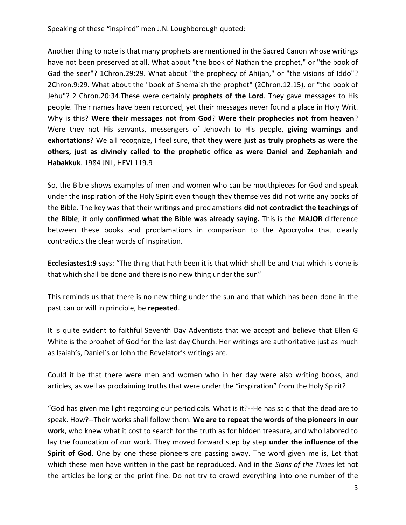Speaking of these "inspired" men J.N. Loughborough quoted:

Another thing to note is that many prophets are mentioned in the Sacred Canon whose writings have not been preserved at all. What about "the book of Nathan the prophet," or "the book of Gad the seer"? 1Chron.29:29. What about "the prophecy of Ahijah," or "the visions of Iddo"? 2Chron.9:29. What about the "book of Shemaiah the prophet" (2Chron.12:15), or "the book of Jehu"? 2 Chron.20:34.These were certainly **prophets of the Lord**. They gave messages to His people. Their names have been recorded, yet their messages never found a place in Holy Writ. Why is this? **Were their messages not from God**? **Were their prophecies not from heaven**? Were they not His servants, messengers of Jehovah to His people, **giving warnings and exhortations**? We all recognize, I feel sure, that **they were just as truly prophets as were the others, just as divinely called to the prophetic office as were Daniel and Zephaniah and Habakkuk**. 1984 JNL, HEVI 119.9

So, the Bible shows examples of men and women who can be mouthpieces for God and speak under the inspiration of the Holy Spirit even though they themselves did not write any books of the Bible. The key was that their writings and proclamations **did not contradict the teachings of the Bible**; it only **confirmed what the Bible was already saying.** This is the **MAJOR** difference between these books and proclamations in comparison to the Apocrypha that clearly contradicts the clear words of Inspiration.

**Ecclesiastes1:9** says: "The thing that hath been it is that which shall be and that which is done is that which shall be done and there is no new thing under the sun"

This reminds us that there is no new thing under the sun and that which has been done in the past can or will in principle, be **repeated**.

It is quite evident to faithful Seventh Day Adventists that we accept and believe that Ellen G White is the prophet of God for the last day Church. Her writings are authoritative just as much as Isaiah's, Daniel's or John the Revelator's writings are.

Could it be that there were men and women who in her day were also writing books, and articles, as well as proclaiming truths that were under the "inspiration" from the Holy Spirit?

"God has given me light regarding our periodicals. What is it?--He has said that the dead are to speak. How?--Their works shall follow them. **We are to repeat the words of the pioneers in our work**, who knew what it cost to search for the truth as for hidden treasure, and who labored to lay the foundation of our work. They moved forward step by step **under the influence of the Spirit of God**. One by one these pioneers are passing away. The word given me is, Let that which these men have written in the past be reproduced. And in the *Signs of the Times* let not the articles be long or the print fine. Do not try to crowd everything into one number of the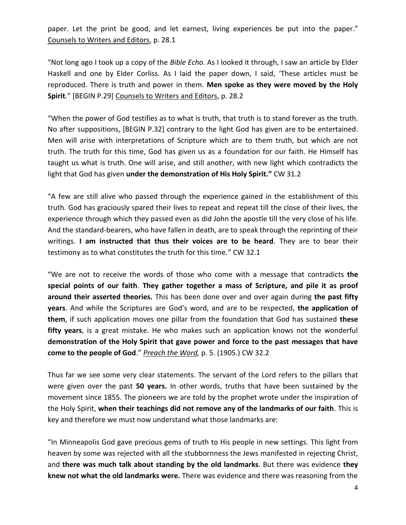paper. Let the print be good, and let earnest, living experiences be put into the paper." Counsels to Writers and Editors, p. 28.1

"Not long ago I took up a copy of the *Bible Echo.* As I looked it through, I saw an article by Elder Haskell and one by Elder Corliss. As I laid the paper down, I said, 'These articles must be reproduced. There is truth and power in them. **Men spoke as they were moved by the Holy Spirit**." [BEGIN P.29] Counsels to Writers and Editors, p. 28.2

"When the power of God testifies as to what is truth, that truth is to stand forever as the truth. No after suppositions, [BEGIN P.32] contrary to the light God has given are to be entertained. Men will arise with interpretations of Scripture which are to them truth, but which are not truth. The truth for this time, God has given us as a foundation for our faith. He Himself has taught us what is truth. One will arise, and still another, with new light which contradicts the light that God has given **under the demonstration of His Holy Spirit."** CW 31.2

"A few are still alive who passed through the experience gained in the establishment of this truth. God has graciously spared their lives to repeat and repeat till the close of their lives, the experience through which they passed even as did John the apostle till the very close of his life. And the standard-bearers, who have fallen in death, are to speak through the reprinting of their writings. **I am instructed that thus their voices are to be heard**. They are to bear their testimony as to what constitutes the truth for this time." CW 32.1

"We are not to receive the words of those who come with a message that contradicts **the special points of our faith**. **They gather together a mass of Scripture, and pile it as proof around their asserted theories.** This has been done over and over again during **the past fifty years**. And while the Scriptures are God's word, and are to be respected, **the application of them**, if such application moves one pillar from the foundation that God has sustained **these fifty years**, is a great mistake. He who makes such an application knows not the wonderful **demonstration of the Holy Spirit that gave power and force to the past messages that have come to the people of God**." *Preach the Word,* p. 5. (1905.) CW 32.2

Thus far we see some very clear statements. The servant of the Lord refers to the pillars that were given over the past **50 years.** In other words, truths that have been sustained by the movement since 1855. The pioneers we are told by the prophet wrote under the inspiration of the Holy Spirit, **when their teachings did not remove any of the landmarks of our faith**. This is key and therefore we must now understand what those landmarks are:

"In Minneapolis God gave precious gems of truth to His people in new settings. This light from heaven by some was rejected with all the stubbornness the Jews manifested in rejecting Christ, and **there was much talk about standing by the old landmarks**. But there was evidence **they knew not what the old landmarks were.** There was evidence and there was reasoning from the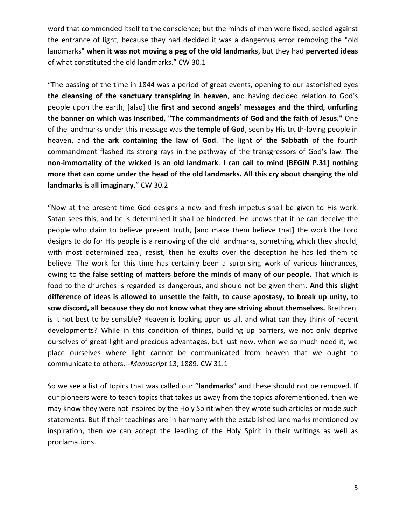word that commended itself to the conscience; but the minds of men were fixed, sealed against the entrance of light, because they had decided it was a dangerous error removing the "old landmarks" **when it was not moving a peg of the old landmarks**, but they had **perverted ideas**  of what constituted the old landmarks." CW 30.1

"The passing of the time in 1844 was a period of great events, opening to our astonished eyes **the cleansing of the sanctuary transpiring in heaven**, and having decided relation to God's people upon the earth, [also] the **first and second angels' messages and the third, unfurling the banner on which was inscribed, "The commandments of God and the faith of Jesus."** One of the landmarks under this message was **the temple of God**, seen by His truth-loving people in heaven, and **the ark containing the law of God**. The light of **the Sabbath** of the fourth commandment flashed its strong rays in the pathway of the transgressors of God's law. **The non-immortality of the wicked is an old landmark**. **I can call to mind [BEGIN P.31] nothing more that can come under the head of the old landmarks. All this cry about changing the old landmarks is all imaginary**." CW 30.2

"Now at the present time God designs a new and fresh impetus shall be given to His work. Satan sees this, and he is determined it shall be hindered. He knows that if he can deceive the people who claim to believe present truth, [and make them believe that] the work the Lord designs to do for His people is a removing of the old landmarks, something which they should, with most determined zeal, resist, then he exults over the deception he has led them to believe. The work for this time has certainly been a surprising work of various hindrances, owing to **the false setting of matters before the minds of many of our people.** That which is food to the churches is regarded as dangerous, and should not be given them. **And this slight difference of ideas is allowed to unsettle the faith, to cause apostasy, to break up unity, to sow discord, all because they do not know what they are striving about themselves.** Brethren, is it not best to be sensible? Heaven is looking upon us all, and what can they think of recent developments? While in this condition of things, building up barriers, we not only deprive ourselves of great light and precious advantages, but just now, when we so much need it, we place ourselves where light cannot be communicated from heaven that we ought to communicate to others.--*Manuscript* 13, 1889. CW 31.1

So we see a list of topics that was called our "**landmarks**" and these should not be removed. If our pioneers were to teach topics that takes us away from the topics aforementioned, then we may know they were not inspired by the Holy Spirit when they wrote such articles or made such statements. But if their teachings are in harmony with the established landmarks mentioned by inspiration, then we can accept the leading of the Holy Spirit in their writings as well as proclamations.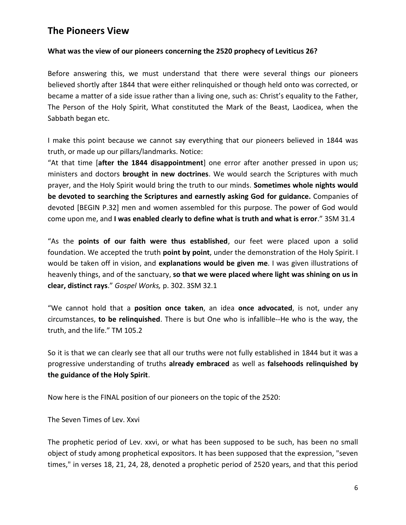# **The Pioneers View**

#### **What was the view of our pioneers concerning the 2520 prophecy of Leviticus 26?**

Before answering this, we must understand that there were several things our pioneers believed shortly after 1844 that were either relinquished or though held onto was corrected, or became a matter of a side issue rather than a living one, such as: Christ's equality to the Father, The Person of the Holy Spirit, What constituted the Mark of the Beast, Laodicea, when the Sabbath began etc.

I make this point because we cannot say everything that our pioneers believed in 1844 was truth, or made up our pillars/landmarks. Notice:

"At that time [**after the 1844 disappointment**] one error after another pressed in upon us; ministers and doctors **brought in new doctrines**. We would search the Scriptures with much prayer, and the Holy Spirit would bring the truth to our minds. **Sometimes whole nights would be devoted to searching the Scriptures and earnestly asking God for guidance.** Companies of devoted [BEGIN P.32] men and women assembled for this purpose. The power of God would come upon me, and **I was enabled clearly to define what is truth and what is error**." 3SM 31.4

"As the **points of our faith were thus established**, our feet were placed upon a solid foundation. We accepted the truth **point by point**, under the demonstration of the Holy Spirit. I would be taken off in vision, and **explanations would be given me**. I was given illustrations of heavenly things, and of the sanctuary, **so that we were placed where light was shining on us in clear, distinct rays**." *Gospel Works,* p. 302. 3SM 32.1

"We cannot hold that a **position once taken**, an idea **once advocated**, is not, under any circumstances, **to be relinquished**. There is but One who is infallible--He who is the way, the truth, and the life." TM 105.2

So it is that we can clearly see that all our truths were not fully established in 1844 but it was a progressive understanding of truths **already embraced** as well as **falsehoods relinquished by the guidance of the Holy Spirit**.

Now here is the FINAL position of our pioneers on the topic of the 2520:

The Seven Times of Lev. Xxvi

The prophetic period of Lev. xxvi, or what has been supposed to be such, has been no small object of study among prophetical expositors. It has been supposed that the expression, "seven times," in verses 18, 21, 24, 28, denoted a prophetic period of 2520 years, and that this period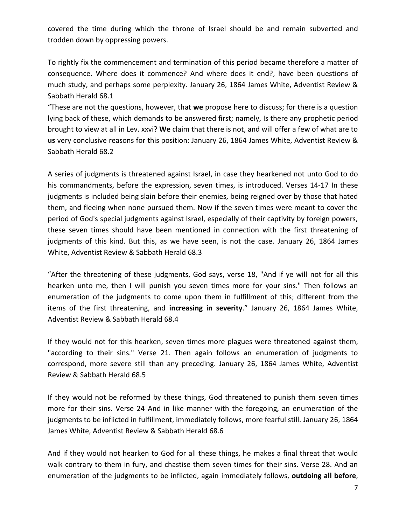covered the time during which the throne of Israel should be and remain subverted and trodden down by oppressing powers.

To rightly fix the commencement and termination of this period became therefore a matter of consequence. Where does it commence? And where does it end?, have been questions of much study, and perhaps some perplexity. January 26, 1864 James White, Adventist Review & Sabbath Herald 68.1

"These are not the questions, however, that **we** propose here to discuss; for there is a question lying back of these, which demands to be answered first; namely, Is there any prophetic period brought to view at all in Lev. xxvi? **We** claim that there is not, and will offer a few of what are to **us** very conclusive reasons for this position: January 26, 1864 James White, Adventist Review & Sabbath Herald 68.2

A series of judgments is threatened against Israel, in case they hearkened not unto God to do his commandments, before the expression, seven times, is introduced. Verses 14-17 In these judgments is included being slain before their enemies, being reigned over by those that hated them, and fleeing when none pursued them. Now if the seven times were meant to cover the period of God's special judgments against Israel, especially of their captivity by foreign powers, these seven times should have been mentioned in connection with the first threatening of judgments of this kind. But this, as we have seen, is not the case. January 26, 1864 James White, Adventist Review & Sabbath Herald 68.3

"After the threatening of these judgments, God says, verse 18, "And if ye will not for all this hearken unto me, then I will punish you seven times more for your sins." Then follows an enumeration of the judgments to come upon them in fulfillment of this; different from the items of the first threatening, and **increasing in severity**." January 26, 1864 James White, Adventist Review & Sabbath Herald 68.4

If they would not for this hearken, seven times more plagues were threatened against them, "according to their sins." Verse 21. Then again follows an enumeration of judgments to correspond, more severe still than any preceding. January 26, 1864 James White, Adventist Review & Sabbath Herald 68.5

If they would not be reformed by these things, God threatened to punish them seven times more for their sins. Verse 24 And in like manner with the foregoing, an enumeration of the judgments to be inflicted in fulfillment, immediately follows, more fearful still. January 26, 1864 James White, Adventist Review & Sabbath Herald 68.6

And if they would not hearken to God for all these things, he makes a final threat that would walk contrary to them in fury, and chastise them seven times for their sins. Verse 28. And an enumeration of the judgments to be inflicted, again immediately follows, **outdoing all before**,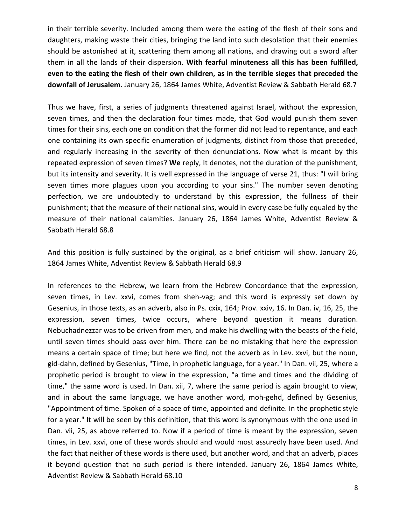in their terrible severity. Included among them were the eating of the flesh of their sons and daughters, making waste their cities, bringing the land into such desolation that their enemies should be astonished at it, scattering them among all nations, and drawing out a sword after them in all the lands of their dispersion. **With fearful minuteness all this has been fulfilled, even to the eating the flesh of their own children, as in the terrible sieges that preceded the downfall of Jerusalem.** January 26, 1864 James White, Adventist Review & Sabbath Herald 68.7

Thus we have, first, a series of judgments threatened against Israel, without the expression, seven times, and then the declaration four times made, that God would punish them seven times for their sins, each one on condition that the former did not lead to repentance, and each one containing its own specific enumeration of judgments, distinct from those that preceded, and regularly increasing in the severity of then denunciations. Now what is meant by this repeated expression of seven times? **We** reply, It denotes, not the duration of the punishment, but its intensity and severity. It is well expressed in the language of verse 21, thus: "I will bring seven times more plagues upon you according to your sins." The number seven denoting perfection, we are undoubtedly to understand by this expression, the fullness of their punishment; that the measure of their national sins, would in every case be fully equaled by the measure of their national calamities. January 26, 1864 James White, Adventist Review & Sabbath Herald 68.8

And this position is fully sustained by the original, as a brief criticism will show. January 26, 1864 James White, Adventist Review & Sabbath Herald 68.9

In references to the Hebrew, we learn from the Hebrew Concordance that the expression, seven times, in Lev. xxvi, comes from sheh-vag; and this word is expressly set down by Gesenius, in those texts, as an adverb, also in Ps. cxix, 164; Prov. xxiv, 16. In Dan. iv, 16, 25, the expression, seven times, twice occurs, where beyond question it means duration. Nebuchadnezzar was to be driven from men, and make his dwelling with the beasts of the field, until seven times should pass over him. There can be no mistaking that here the expression means a certain space of time; but here we find, not the adverb as in Lev. xxvi, but the noun, gid-dahn, defined by Gesenius, "Time, in prophetic language, for a year." In Dan. vii, 25, where a prophetic period is brought to view in the expression, "a time and times and the dividing of time," the same word is used. In Dan. xii, 7, where the same period is again brought to view, and in about the same language, we have another word, moh-gehd, defined by Gesenius, "Appointment of time. Spoken of a space of time, appointed and definite. In the prophetic style for a year." It will be seen by this definition, that this word is synonymous with the one used in Dan. vii, 25, as above referred to. Now if a period of time is meant by the expression, seven times, in Lev. xxvi, one of these words should and would most assuredly have been used. And the fact that neither of these words is there used, but another word, and that an adverb, places it beyond question that no such period is there intended. January 26, 1864 James White, Adventist Review & Sabbath Herald 68.10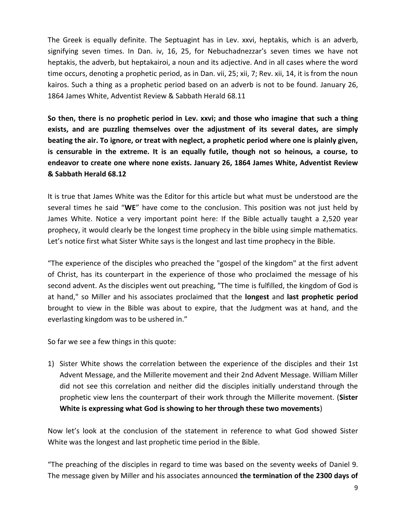The Greek is equally definite. The Septuagint has in Lev. xxvi, heptakis, which is an adverb, signifying seven times. In Dan. iv, 16, 25, for Nebuchadnezzar's seven times we have not heptakis, the adverb, but heptakairoi, a noun and its adjective. And in all cases where the word time occurs, denoting a prophetic period, as in Dan. vii, 25; xii, 7; Rev. xii, 14, it is from the noun kairos. Such a thing as a prophetic period based on an adverb is not to be found. January 26, 1864 James White, Adventist Review & Sabbath Herald 68.11

**So then, there is no prophetic period in Lev. xxvi; and those who imagine that such a thing exists, and are puzzling themselves over the adjustment of its several dates, are simply beating the air. To ignore, or treat with neglect, a prophetic period where one is plainly given, is censurable in the extreme. It is an equally futile, though not so heinous, a course, to endeavor to create one where none exists. January 26, 1864 James White, Adventist Review & Sabbath Herald 68.12**

It is true that James White was the Editor for this article but what must be understood are the several times he said "**WE**" have come to the conclusion. This position was not just held by James White. Notice a very important point here: If the Bible actually taught a 2,520 year prophecy, it would clearly be the longest time prophecy in the bible using simple mathematics. Let's notice first what Sister White says is the longest and last time prophecy in the Bible.

"The experience of the disciples who preached the "gospel of the kingdom" at the first advent of Christ, has its counterpart in the experience of those who proclaimed the message of his second advent. As the disciples went out preaching, "The time is fulfilled, the kingdom of God is at hand," so Miller and his associates proclaimed that the **longest** and **last prophetic period**  brought to view in the Bible was about to expire, that the Judgment was at hand, and the everlasting kingdom was to be ushered in."

So far we see a few things in this quote:

1) Sister White shows the correlation between the experience of the disciples and their 1st Advent Message, and the Millerite movement and their 2nd Advent Message. William Miller did not see this correlation and neither did the disciples initially understand through the prophetic view lens the counterpart of their work through the Millerite movement. (**Sister White is expressing what God is showing to her through these two movements**)

Now let's look at the conclusion of the statement in reference to what God showed Sister White was the longest and last prophetic time period in the Bible.

"The preaching of the disciples in regard to time was based on the seventy weeks of Daniel 9. The message given by Miller and his associates announced **the termination of the 2300 days of**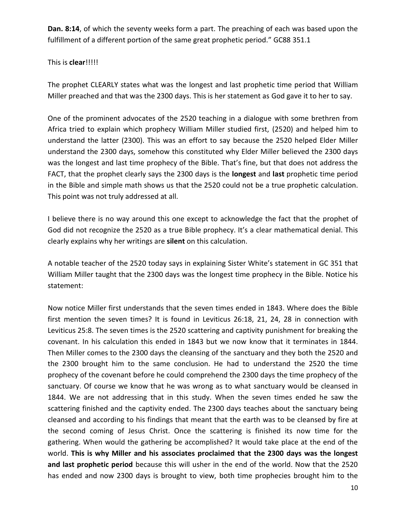**Dan. 8:14**, of which the seventy weeks form a part. The preaching of each was based upon the fulfillment of a different portion of the same great prophetic period." GC88 351.1

#### This is **clear**!!!!!

The prophet CLEARLY states what was the longest and last prophetic time period that William Miller preached and that was the 2300 days. This is her statement as God gave it to her to say.

One of the prominent advocates of the 2520 teaching in a dialogue with some brethren from Africa tried to explain which prophecy William Miller studied first, (2520) and helped him to understand the latter (2300). This was an effort to say because the 2520 helped Elder Miller understand the 2300 days, somehow this constituted why Elder Miller believed the 2300 days was the longest and last time prophecy of the Bible. That's fine, but that does not address the FACT, that the prophet clearly says the 2300 days is the **longest** and **last** prophetic time period in the Bible and simple math shows us that the 2520 could not be a true prophetic calculation. This point was not truly addressed at all.

I believe there is no way around this one except to acknowledge the fact that the prophet of God did not recognize the 2520 as a true Bible prophecy. It's a clear mathematical denial. This clearly explains why her writings are **silent** on this calculation.

A notable teacher of the 2520 today says in explaining Sister White's statement in GC 351 that William Miller taught that the 2300 days was the longest time prophecy in the Bible. Notice his statement:

Now notice Miller first understands that the seven times ended in 1843. Where does the Bible first mention the seven times? It is found in Leviticus 26:18, 21, 24, 28 in connection with Leviticus 25:8. The seven times is the 2520 scattering and captivity punishment for breaking the covenant. In his calculation this ended in 1843 but we now know that it terminates in 1844. Then Miller comes to the 2300 days the cleansing of the sanctuary and they both the 2520 and the 2300 brought him to the same conclusion. He had to understand the 2520 the time prophecy of the covenant before he could comprehend the 2300 days the time prophecy of the sanctuary. Of course we know that he was wrong as to what sanctuary would be cleansed in 1844. We are not addressing that in this study. When the seven times ended he saw the scattering finished and the captivity ended. The 2300 days teaches about the sanctuary being cleansed and according to his findings that meant that the earth was to be cleansed by fire at the second coming of Jesus Christ. Once the scattering is finished its now time for the gathering. When would the gathering be accomplished? It would take place at the end of the world. **This is why Miller and his associates proclaimed that the 2300 days was the longest and last prophetic period** because this will usher in the end of the world. Now that the 2520 has ended and now 2300 days is brought to view, both time prophecies brought him to the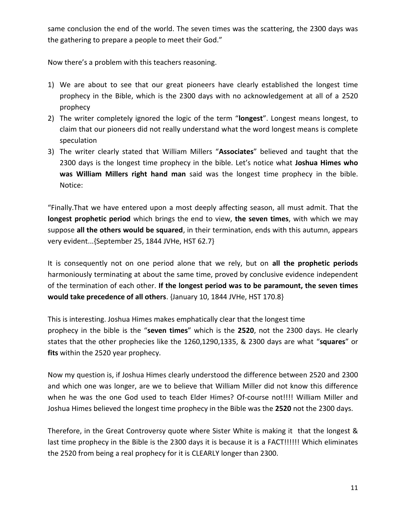same conclusion the end of the world. The seven times was the scattering, the 2300 days was the gathering to prepare a people to meet their God."

Now there's a problem with this teachers reasoning.

- 1) We are about to see that our great pioneers have clearly established the longest time prophecy in the Bible, which is the 2300 days with no acknowledgement at all of a 2520 prophecy
- 2) The writer completely ignored the logic of the term "**longest**". Longest means longest, to claim that our pioneers did not really understand what the word longest means is complete speculation
- 3) The writer clearly stated that William Millers "**Associates**" believed and taught that the 2300 days is the longest time prophecy in the bible. Let's notice what **Joshua Himes who was William Millers right hand man** said was the longest time prophecy in the bible. Notice:

"Finally.That we have entered upon a most deeply affecting season, all must admit. That the **longest prophetic period** which brings the end to view, **the seven times**, with which we may suppose **all the others would be squared**, in their termination, ends with this autumn, appears very evident...{September 25, 1844 JVHe, HST 62.7}

It is consequently not on one period alone that we rely, but on **all the prophetic periods** harmoniously terminating at about the same time, proved by conclusive evidence independent of the termination of each other. **If the longest period was to be paramount, the seven times would take precedence of all others**. {January 10, 1844 JVHe, HST 170.8}

This is interesting. Joshua Himes makes emphatically clear that the longest time prophecy in the bible is the "**seven times**" which is the **2520**, not the 2300 days. He clearly states that the other prophecies like the 1260,1290,1335, & 2300 days are what "**squares**" or **fits** within the 2520 year prophecy.

Now my question is, if Joshua Himes clearly understood the difference between 2520 and 2300 and which one was longer, are we to believe that William Miller did not know this difference when he was the one God used to teach Elder Himes? Of-course not!!!! William Miller and Joshua Himes believed the longest time prophecy in the Bible was the **2520** not the 2300 days.

Therefore, in the Great Controversy quote where Sister White is making it that the longest & last time prophecy in the Bible is the 2300 days it is because it is a FACT!!!!!! Which eliminates the 2520 from being a real prophecy for it is CLEARLY longer than 2300.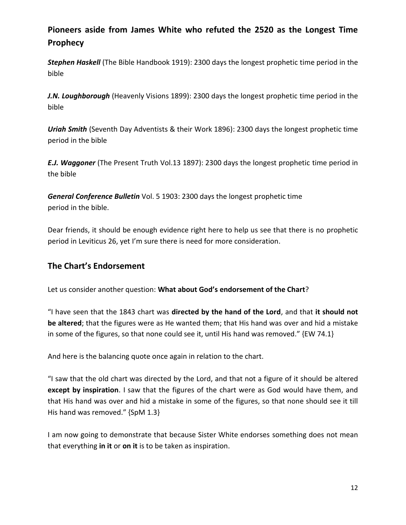# **Pioneers aside from James White who refuted the 2520 as the Longest Time Prophecy**

*Stephen Haskell* (The Bible Handbook 1919): 2300 days the longest prophetic time period in the bible

*J.N. Loughborough* (Heavenly Visions 1899): 2300 days the longest prophetic time period in the bible

*Uriah Smith* (Seventh Day Adventists & their Work 1896): 2300 days the longest prophetic time period in the bible

*E.J. Waggoner* (The Present Truth Vol.13 1897): 2300 days the longest prophetic time period in the bible

*General Conference Bulletin* Vol. 5 1903: 2300 days the longest prophetic time period in the bible.

Dear friends, it should be enough evidence right here to help us see that there is no prophetic period in Leviticus 26, yet I'm sure there is need for more consideration.

### **The Chart's Endorsement**

Let us consider another question: **What about God's endorsement of the Chart**?

"I have seen that the 1843 chart was **directed by the hand of the Lord**, and that **it should not be altered**; that the figures were as He wanted them; that His hand was over and hid a mistake in some of the figures, so that none could see it, until His hand was removed." {EW 74.1}

And here is the balancing quote once again in relation to the chart.

"I saw that the old chart was directed by the Lord, and that not a figure of it should be altered **except by inspiration**. I saw that the figures of the chart were as God would have them, and that His hand was over and hid a mistake in some of the figures, so that none should see it till His hand was removed." {SpM 1.3}

I am now going to demonstrate that because Sister White endorses something does not mean that everything **in it** or **on it** is to be taken as inspiration.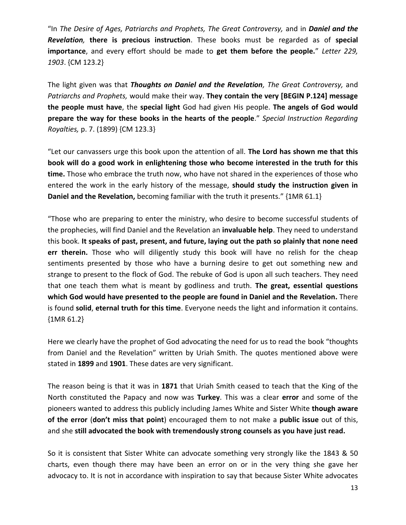"In *The Desire of Ages, Patriarchs and Prophets, The Great Controversy,* and in *Daniel and the Revelation,* **there is precious instruction**. These books must be regarded as of **special importance**, and every effort should be made to **get them before the people.**" *Letter 229, 1903*. {CM 123.2}

The light given was that *Thoughts on Daniel and the Revelation, The Great Controversy,* and *Patriarchs and Prophets,* would make their way. **They contain the very [BEGIN P.124] message the people must have**, the **special light** God had given His people. **The angels of God would prepare the way for these books in the hearts of the people**." *Special Instruction Regarding Royalties,* p. 7. (1899) {CM 123.3}

"Let our canvassers urge this book upon the attention of all. **The Lord has shown me that this book will do a good work in enlightening those who become interested in the truth for this time.** Those who embrace the truth now, who have not shared in the experiences of those who entered the work in the early history of the message, **should study the instruction given in Daniel and the Revelation,** becoming familiar with the truth it presents." {1MR 61.1}

"Those who are preparing to enter the ministry, who desire to become successful students of the prophecies, will find Daniel and the Revelation an **invaluable help**. They need to understand this book. **It speaks of past, present, and future, laying out the path so plainly that none need err therein.** Those who will diligently study this book will have no relish for the cheap sentiments presented by those who have a burning desire to get out something new and strange to present to the flock of God. The rebuke of God is upon all such teachers. They need that one teach them what is meant by godliness and truth. **The great, essential questions which God would have presented to the people are found in Daniel and the Revelation.** There is found **solid**, **eternal truth for this time**. Everyone needs the light and information it contains. {1MR 61.2}

Here we clearly have the prophet of God advocating the need for us to read the book "thoughts from Daniel and the Revelation" written by Uriah Smith. The quotes mentioned above were stated in **1899** and **1901**. These dates are very significant.

The reason being is that it was in **1871** that Uriah Smith ceased to teach that the King of the North constituted the Papacy and now was **Turkey**. This was a clear **error** and some of the pioneers wanted to address this publicly including James White and Sister White **though aware of the error** (**don't miss that point**) encouraged them to not make a **public issue** out of this, and she **still advocated the book with tremendously strong counsels as you have just read.**

So it is consistent that Sister White can advocate something very strongly like the 1843 & 50 charts, even though there may have been an error on or in the very thing she gave her advocacy to. It is not in accordance with inspiration to say that because Sister White advocates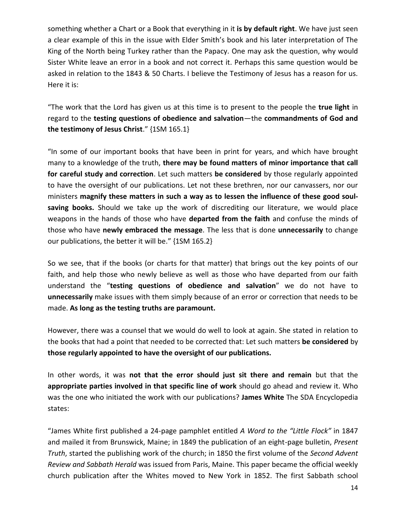something whether a Chart or a Book that everything in it **is by default right**. We have just seen a clear example of this in the issue with Elder Smith's book and his later interpretation of The King of the North being Turkey rather than the Papacy. One may ask the question, why would Sister White leave an error in a book and not correct it. Perhaps this same question would be asked in relation to the 1843 & 50 Charts. I believe the Testimony of Jesus has a reason for us. Here it is:

"The work that the Lord has given us at this time is to present to the people the **true light** in regard to the **testing questions of obedience and salvation**—the **commandments of God and the testimony of Jesus Christ**." {1SM 165.1}

"In some of our important books that have been in print for years, and which have brought many to a knowledge of the truth, **there may be found matters of minor importance that call for careful study and correction**. Let such matters **be considered** by those regularly appointed to have the oversight of our publications. Let not these brethren, nor our canvassers, nor our ministers **magnify these matters in such a way as to lessen the influence of these good soulsaving books.** Should we take up the work of discrediting our literature, we would place weapons in the hands of those who have **departed from the faith** and confuse the minds of those who have **newly embraced the message**. The less that is done **unnecessarily** to change our publications, the better it will be." {1SM 165.2}

So we see, that if the books (or charts for that matter) that brings out the key points of our faith, and help those who newly believe as well as those who have departed from our faith understand the "**testing questions of obedience and salvation**" we do not have to **unnecessarily** make issues with them simply because of an error or correction that needs to be made. **As long as the testing truths are paramount.**

However, there was a counsel that we would do well to look at again. She stated in relation to the books that had a point that needed to be corrected that: Let such matters **be considered** by **those regularly appointed to have the oversight of our publications.**

In other words, it was **not that the error should just sit there and remain** but that the **appropriate parties involved in that specific line of work** should go ahead and review it. Who was the one who initiated the work with our publications? **James White** The SDA Encyclopedia states:

"James White first published a 24-page pamphlet entitled *A Word to the "Little Flock"* in 1847 and mailed it from Brunswick, Maine; in 1849 the publication of an eight-page bulletin, *Present Truth*, started the publishing work of the church; in 1850 the first volume of the *Second Advent Review and Sabbath Herald* was issued from Paris, Maine. This paper became the official weekly church publication after the Whites moved to New York in 1852. The first Sabbath school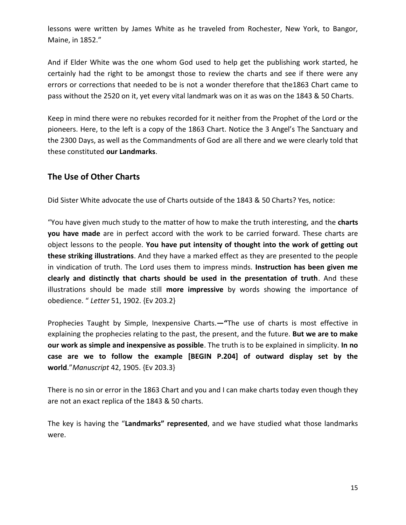lessons were written by James White as he traveled from Rochester, New York, to Bangor, Maine, in 1852."

And if Elder White was the one whom God used to help get the publishing work started, he certainly had the right to be amongst those to review the charts and see if there were any errors or corrections that needed to be is not a wonder therefore that the1863 Chart came to pass without the 2520 on it, yet every vital landmark was on it as was on the 1843 & 50 Charts.

Keep in mind there were no rebukes recorded for it neither from the Prophet of the Lord or the pioneers. Here, to the left is a copy of the 1863 Chart. Notice the 3 Angel's The Sanctuary and the 2300 Days, as well as the Commandments of God are all there and we were clearly told that these constituted **our Landmarks**.

#### **The Use of Other Charts**

Did Sister White advocate the use of Charts outside of the 1843 & 50 Charts? Yes, notice:

"You have given much study to the matter of how to make the truth interesting, and the **charts you have made** are in perfect accord with the work to be carried forward. These charts are object lessons to the people. **You have put intensity of thought into the work of getting out these striking illustrations**. And they have a marked effect as they are presented to the people in vindication of truth. The Lord uses them to impress minds. **Instruction has been given me clearly and distinctly that charts should be used in the presentation of truth**. And these illustrations should be made still **more impressive** by words showing the importance of obedience. " *Letter* 51, 1902. {Ev 203.2}

Prophecies Taught by Simple, Inexpensive Charts.**—"**The use of charts is most effective in explaining the prophecies relating to the past, the present, and the future. **But we are to make our work as simple and inexpensive as possible**. The truth is to be explained in simplicity. **In no case are we to follow the example [BEGIN P.204] of outward display set by the world**."*Manuscript* 42, 1905. {Ev 203.3}

There is no sin or error in the 1863 Chart and you and I can make charts today even though they are not an exact replica of the 1843 & 50 charts.

The key is having the "**Landmarks" represented**, and we have studied what those landmarks were.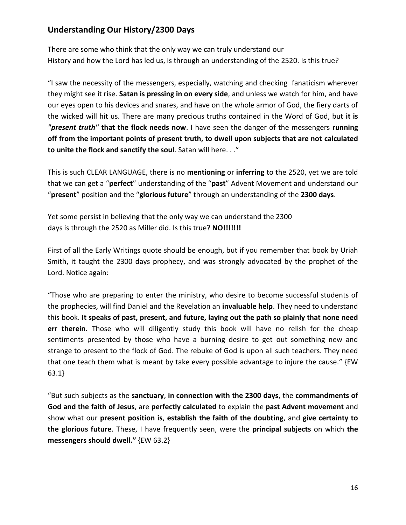# **Understanding Our History/2300 Days**

There are some who think that the only way we can truly understand our History and how the Lord has led us, is through an understanding of the 2520. Is this true?

"I saw the necessity of the messengers, especially, watching and checking fanaticism wherever they might see it rise. **Satan is pressing in on every side**, and unless we watch for him, and have our eyes open to his devices and snares, and have on the whole armor of God, the fiery darts of the wicked will hit us. There are many precious truths contained in the Word of God, but **it is**  *"present truth"* **that the flock needs now**. I have seen the danger of the messengers **running off from the important points of present truth, to dwell upon subjects that are not calculated to unite the flock and sanctify the soul**. Satan will here. . ."

This is such CLEAR LANGUAGE, there is no **mentioning** or **inferring** to the 2520, yet we are told that we can get a "**perfect**" understanding of the "**past**" Advent Movement and understand our "**present**" position and the "**glorious future**" through an understanding of the **2300 days**.

Yet some persist in believing that the only way we can understand the 2300 days is through the 2520 as Miller did. Is this true? **NO!!!!!!!**

First of all the Early Writings quote should be enough, but if you remember that book by Uriah Smith, it taught the 2300 days prophecy, and was strongly advocated by the prophet of the Lord. Notice again:

"Those who are preparing to enter the ministry, who desire to become successful students of the prophecies, will find Daniel and the Revelation an **invaluable help**. They need to understand this book. **It speaks of past, present, and future, laying out the path so plainly that none need err therein.** Those who will diligently study this book will have no relish for the cheap sentiments presented by those who have a burning desire to get out something new and strange to present to the flock of God. The rebuke of God is upon all such teachers. They need that one teach them what is meant by take every possible advantage to injure the cause." {EW 63.1}

"But such subjects as the **sanctuary**, **in connection with the 2300 days**, the **commandments of God and the faith of Jesus**, are **perfectly calculated** to explain the **past Advent movement** and show what our **present position is**, **establish the faith of the doubting**, and **give certainty to the glorious future**. These, I have frequently seen, were the **principal subjects** on which **the messengers should dwell."** {EW 63.2}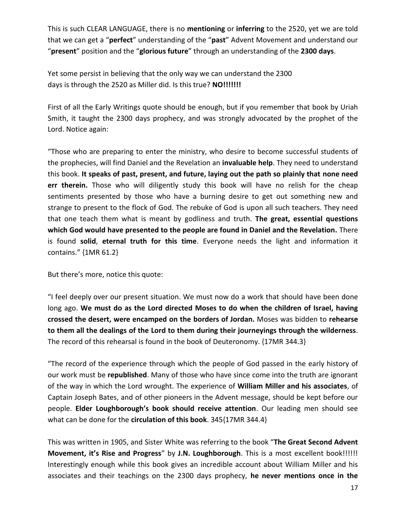This is such CLEAR LANGUAGE, there is no **mentioning** or **inferring** to the 2520, yet we are told that we can get a "**perfect**" understanding of the "**past**" Advent Movement and understand our "**present**" position and the "**glorious future**" through an understanding of the **2300 days**.

Yet some persist in believing that the only way we can understand the 2300 days is through the 2520 as Miller did. Is this true? **NO!!!!!!!**

First of all the Early Writings quote should be enough, but if you remember that book by Uriah Smith, it taught the 2300 days prophecy, and was strongly advocated by the prophet of the Lord. Notice again:

"Those who are preparing to enter the ministry, who desire to become successful students of the prophecies, will find Daniel and the Revelation an **invaluable help**. They need to understand this book. **It speaks of past, present, and future, laying out the path so plainly that none need err therein.** Those who will diligently study this book will have no relish for the cheap sentiments presented by those who have a burning desire to get out something new and strange to present to the flock of God. The rebuke of God is upon all such teachers. They need that one teach them what is meant by godliness and truth. **The great, essential questions which God would have presented to the people are found in Daniel and the Revelation.** There is found **solid**, **eternal truth for this time**. Everyone needs the light and information it contains." {1MR 61.2}

But there's more, notice this quote:

"I feel deeply over our present situation. We must now do a work that should have been done long ago. **We must do as the Lord directed Moses to do when the children of Israel, having crossed the desert, were encamped on the borders of Jordan.** Moses was bidden to **rehearse to them all the dealings of the Lord to them during their journeyings through the wilderness**. The record of this rehearsal is found in the book of Deuteronomy. {17MR 344.3}

"The record of the experience through which the people of God passed in the early history of our work must be **republished**. Many of those who have since come into the truth are ignorant of the way in which the Lord wrought. The experience of **William Miller and his associates**, of Captain Joseph Bates, and of other pioneers in the Advent message, should be kept before our people. **Elder Loughborough's book should receive attention**. Our leading men should see what can be done for the **circulation of this book**. 345{17MR 344.4}

This was written in 1905, and Sister White was referring to the book "**The Great Second Advent Movement, it's Rise and Progress**" by **J.N. Loughborough**. This is a most excellent book!!!!!! Interestingly enough while this book gives an incredible account about William Miller and his associates and their teachings on the 2300 days prophecy, **he never mentions once in the**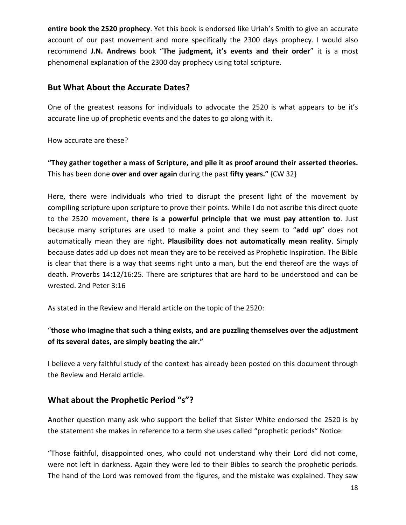**entire book the 2520 prophecy**. Yet this book is endorsed like Uriah's Smith to give an accurate account of our past movement and more specifically the 2300 days prophecy. I would also recommend **J.N. Andrews** book "**The judgment, it's events and their order**" it is a most phenomenal explanation of the 2300 day prophecy using total scripture.

#### **But What About the Accurate Dates?**

One of the greatest reasons for individuals to advocate the 2520 is what appears to be it's accurate line up of prophetic events and the dates to go along with it.

How accurate are these?

**"They gather together a mass of Scripture, and pile it as proof around their asserted theories.**  This has been done **over and over again** during the past **fifty years."** {CW 32}

Here, there were individuals who tried to disrupt the present light of the movement by compiling scripture upon scripture to prove their points. While I do not ascribe this direct quote to the 2520 movement, **there is a powerful principle that we must pay attention to**. Just because many scriptures are used to make a point and they seem to "**add up**" does not automatically mean they are right. **Plausibility does not automatically mean reality**. Simply because dates add up does not mean they are to be received as Prophetic Inspiration. The Bible is clear that there is a way that seems right unto a man, but the end thereof are the ways of death. Proverbs 14:12/16:25. There are scriptures that are hard to be understood and can be wrested. 2nd Peter 3:16

As stated in the Review and Herald article on the topic of the 2520:

#### "**those who imagine that such a thing exists, and are puzzling themselves over the adjustment of its several dates, are simply beating the air."**

I believe a very faithful study of the context has already been posted on this document through the Review and Herald article.

## **What about the Prophetic Period "s"?**

Another question many ask who support the belief that Sister White endorsed the 2520 is by the statement she makes in reference to a term she uses called "prophetic periods" Notice:

"Those faithful, disappointed ones, who could not understand why their Lord did not come, were not left in darkness. Again they were led to their Bibles to search the prophetic periods. The hand of the Lord was removed from the figures, and the mistake was explained. They saw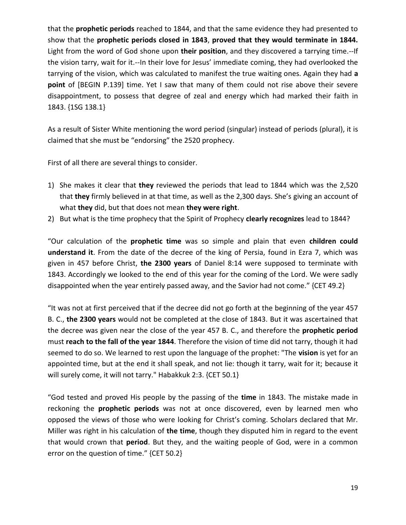that the **prophetic periods** reached to 1844, and that the same evidence they had presented to show that the **prophetic periods closed in 1843**, **proved that they would terminate in 1844.**  Light from the word of God shone upon **their position**, and they discovered a tarrying time.--If the vision tarry, wait for it.--In their love for Jesus' immediate coming, they had overlooked the tarrying of the vision, which was calculated to manifest the true waiting ones. Again they had **a point** of [BEGIN P.139] time. Yet I saw that many of them could not rise above their severe disappointment, to possess that degree of zeal and energy which had marked their faith in 1843. {1SG 138.1}

As a result of Sister White mentioning the word period (singular) instead of periods (plural), it is claimed that she must be "endorsing" the 2520 prophecy.

First of all there are several things to consider.

- 1) She makes it clear that **they** reviewed the periods that lead to 1844 which was the 2,520 that **they** firmly believed in at that time, as well as the 2,300 days. She's giving an account of what **they** did, but that does not mean **they were right**.
- 2) But what is the time prophecy that the Spirit of Prophecy **clearly recognizes** lead to 1844?

"Our calculation of the **prophetic time** was so simple and plain that even **children could understand it**. From the date of the decree of the king of Persia, found in Ezra 7, which was given in 457 before Christ, **the 2300 years** of Daniel 8:14 were supposed to terminate with 1843. Accordingly we looked to the end of this year for the coming of the Lord. We were sadly disappointed when the year entirely passed away, and the Savior had not come." {CET 49.2}

"It was not at first perceived that if the decree did not go forth at the beginning of the year 457 B. C., **the 2300 years** would not be completed at the close of 1843. But it was ascertained that the decree was given near the close of the year 457 B. C., and therefore the **prophetic period**  must **reach to the fall of the year 1844**. Therefore the vision of time did not tarry, though it had seemed to do so. We learned to rest upon the language of the prophet: "The **vision** is yet for an appointed time, but at the end it shall speak, and not lie: though it tarry, wait for it; because it will surely come, it will not tarry." Habakkuk 2:3. {CET 50.1}

"God tested and proved His people by the passing of the **time** in 1843. The mistake made in reckoning the **prophetic periods** was not at once discovered, even by learned men who opposed the views of those who were looking for Christ's coming. Scholars declared that Mr. Miller was right in his calculation of **the time**, though they disputed him in regard to the event that would crown that **period**. But they, and the waiting people of God, were in a common error on the question of time." {CET 50.2}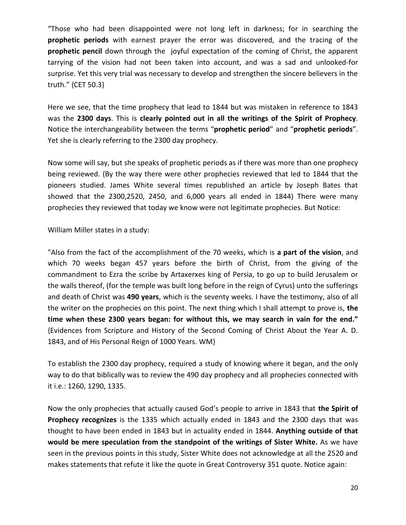"Those who had been disappointed were not long left in darkness; for in searching the **prophetic periods** with earnest prayer the error was discovered, and the tracing of the **prophetic pencil** down through the joyful expectation of the coming of Christ, the apparent tarrying of the vision had not been taken into account, and was a sad and unlooked-for surprise. Yet this very trial was necessary to develop and strengthen the sincere believers in the truth." {CET 50.3}

Here we see, that the time prophecy that lead to 1844 but was mistaken in reference to 1843 was the **2300 days**. This is **clearly pointed out in all the writings of the Spirit of Prophecy**. Notice the interchangeability between the **t**erms "**prophetic period**" and "**prophetic periods**". Yet she is clearly referring to the 2300 day prophecy.

Now some will say, but she speaks of prophetic periods as if there was more than one prophecy being reviewed. (By the way there were other prophecies reviewed that led to 1844 that the pioneers studied. James White several times republished an article by Joseph Bates that showed that the 2300,2520, 2450, and 6,000 years all ended in 1844) There were many prophecies they reviewed that today we know were not legitimate prophecies. But Notice:

William Miller states in a study:

"Also from the fact of the accomplishment of the 70 weeks, which is **a part of the vision**, and which 70 weeks began 457 years before the birth of Christ, from the giving of the commandment to Ezra the scribe by Artaxerxes king of Persia, to go up to build Jerusalem or the walls thereof, (for the temple was built long before in the reign of Cyrus) unto the sufferings and death of Christ was **490 years**, which is the seventy weeks. I have the testimony, also of all the writer on the prophecies on this point. The next thing which I shall attempt to prove is, **the time when these 2300 years began: for without this, we may search in vain for the end."** {Evidences from Scripture and History of the Second Coming of Christ About the Year A. D. 1843, and of His Personal Reign of 1000 Years. WM}

To establish the 2300 day prophecy, required a study of knowing where it began, and the only way to do that biblically was to review the 490 day prophecy and all prophecies connected with it i.e.: 1260, 1290, 1335.

Now the only prophecies that actually caused God's people to arrive in 1843 that **the Spirit of Prophecy recognizes** is the 1335 which actually ended in 1843 and the 2300 days that was thought to have been ended in 1843 but in actuality ended in 1844. **Anything outside of that would be mere speculation from the standpoint of the writings of Sister White.** As we have seen in the previous points in this study, Sister White does not acknowledge at all the 2520 and makes statements that refute it like the quote in Great Controversy 351 quote. Notice again: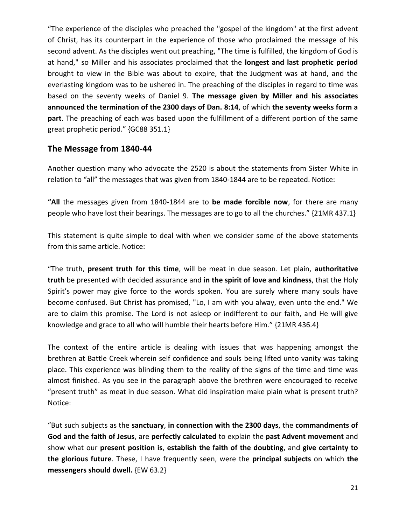"The experience of the disciples who preached the "gospel of the kingdom" at the first advent of Christ, has its counterpart in the experience of those who proclaimed the message of his second advent. As the disciples went out preaching, "The time is fulfilled, the kingdom of God is at hand," so Miller and his associates proclaimed that the **longest and last prophetic period**  brought to view in the Bible was about to expire, that the Judgment was at hand, and the everlasting kingdom was to be ushered in. The preaching of the disciples in regard to time was based on the seventy weeks of Daniel 9. **The message given by Miller and his associates announced the termination of the 2300 days of Dan. 8:14**, of which **the seventy weeks form a part**. The preaching of each was based upon the fulfillment of a different portion of the same great prophetic period." {GC88 351.1}

#### **The Message from 1840-44**

Another question many who advocate the 2520 is about the statements from Sister White in relation to "all" the messages that was given from 1840-1844 are to be repeated. Notice:

**"All** the messages given from 1840-1844 are to **be made forcible now**, for there are many people who have lost their bearings. The messages are to go to all the churches." {21MR 437.1}

This statement is quite simple to deal with when we consider some of the above statements from this same article. Notice:

"The truth, **present truth for this time**, will be meat in due season. Let plain, **authoritative truth** be presented with decided assurance and **in the spirit of love and kindness**, that the Holy Spirit's power may give force to the words spoken. You are surely where many souls have become confused. But Christ has promised, "Lo, I am with you alway, even unto the end." We are to claim this promise. The Lord is not asleep or indifferent to our faith, and He will give knowledge and grace to all who will humble their hearts before Him." {21MR 436.4}

The context of the entire article is dealing with issues that was happening amongst the brethren at Battle Creek wherein self confidence and souls being lifted unto vanity was taking place. This experience was blinding them to the reality of the signs of the time and time was almost finished. As you see in the paragraph above the brethren were encouraged to receive "present truth" as meat in due season. What did inspiration make plain what is present truth? Notice:

"But such subjects as the **sanctuary**, **in connection with the 2300 days**, the **commandments of God and the faith of Jesus**, are **perfectly calculated** to explain the **past Advent movement** and show what our **present position is**, **establish the faith of the doubting**, and **give certainty to the glorious future**. These, I have frequently seen, were the **principal subjects** on which **the messengers should dwell.** {EW 63.2}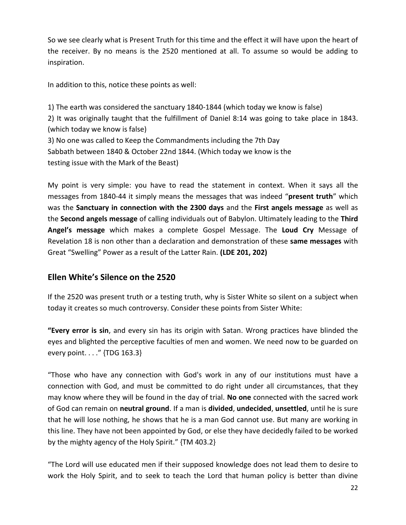So we see clearly what is Present Truth for this time and the effect it will have upon the heart of the receiver. By no means is the 2520 mentioned at all. To assume so would be adding to inspiration.

In addition to this, notice these points as well:

1) The earth was considered the sanctuary 1840-1844 (which today we know is false) 2) It was originally taught that the fulfillment of Daniel 8:14 was going to take place in 1843. (which today we know is false) 3) No one was called to Keep the Commandments including the 7th Day Sabbath between 1840 & October 22nd 1844. (Which today we know is the testing issue with the Mark of the Beast)

My point is very simple: you have to read the statement in context. When it says all the messages from 1840-44 it simply means the messages that was indeed "**present truth**" which was the **Sanctuary in connection with the 2300 days** and the **First angels message** as well as the **Second angels message** of calling individuals out of Babylon. Ultimately leading to the **Third Angel's message** which makes a complete Gospel Message. The **Loud Cry** Message of Revelation 18 is non other than a declaration and demonstration of these **same messages** with Great "Swelling" Power as a result of the Latter Rain. **(LDE 201, 202)**

## **Ellen White's Silence on the 2520**

If the 2520 was present truth or a testing truth, why is Sister White so silent on a subject when today it creates so much controversy. Consider these points from Sister White:

**"Every error is sin**, and every sin has its origin with Satan. Wrong practices have blinded the eyes and blighted the perceptive faculties of men and women. We need now to be guarded on every point. . . ." {TDG 163.3}

"Those who have any connection with God's work in any of our institutions must have a connection with God, and must be committed to do right under all circumstances, that they may know where they will be found in the day of trial. **No one** connected with the sacred work of God can remain on **neutral ground**. If a man is **divided**, **undecided**, **unsettled**, until he is sure that he will lose nothing, he shows that he is a man God cannot use. But many are working in this line. They have not been appointed by God, or else they have decidedly failed to be worked by the mighty agency of the Holy Spirit." {TM 403.2}

"The Lord will use educated men if their supposed knowledge does not lead them to desire to work the Holy Spirit, and to seek to teach the Lord that human policy is better than divine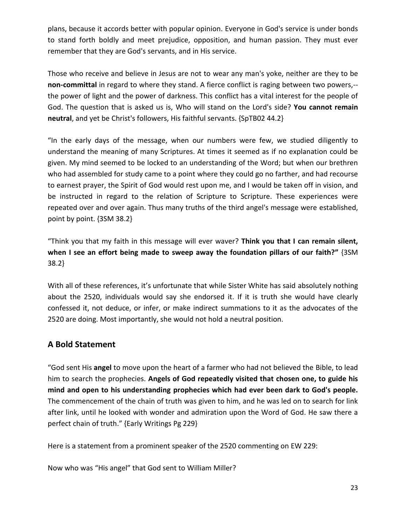plans, because it accords better with popular opinion. Everyone in God's service is under bonds to stand forth boldly and meet prejudice, opposition, and human passion. They must ever remember that they are God's servants, and in His service.

Those who receive and believe in Jesus are not to wear any man's yoke, neither are they to be **non-committal** in regard to where they stand. A fierce conflict is raging between two powers,- the power of light and the power of darkness. This conflict has a vital interest for the people of God. The question that is asked us is, Who will stand on the Lord's side? **You cannot remain neutral**, and yet be Christ's followers, His faithful servants. {SpTB02 44.2}

"In the early days of the message, when our numbers were few, we studied diligently to understand the meaning of many Scriptures. At times it seemed as if no explanation could be given. My mind seemed to be locked to an understanding of the Word; but when our brethren who had assembled for study came to a point where they could go no farther, and had recourse to earnest prayer, the Spirit of God would rest upon me, and I would be taken off in vision, and be instructed in regard to the relation of Scripture to Scripture. These experiences were repeated over and over again. Thus many truths of the third angel's message were established, point by point. {3SM 38.2}

"Think you that my faith in this message will ever waver? **Think you that I can remain silent, when I see an effort being made to sweep away the foundation pillars of our faith?"** {3SM 38.2}

With all of these references, it's unfortunate that while Sister White has said absolutely nothing about the 2520, individuals would say she endorsed it. If it is truth she would have clearly confessed it, not deduce, or infer, or make indirect summations to it as the advocates of the 2520 are doing. Most importantly, she would not hold a neutral position.

## **A Bold Statement**

"God sent His **angel** to move upon the heart of a farmer who had not believed the Bible, to lead him to search the prophecies. **Angels of God repeatedly visited that chosen one, to guide his mind and open to his understanding prophecies which had ever been dark to God's people.**  The commencement of the chain of truth was given to him, and he was led on to search for link after link, until he looked with wonder and admiration upon the Word of God. He saw there a perfect chain of truth." {Early Writings Pg 229}

Here is a statement from a prominent speaker of the 2520 commenting on EW 229:

Now who was "His angel" that God sent to William Miller?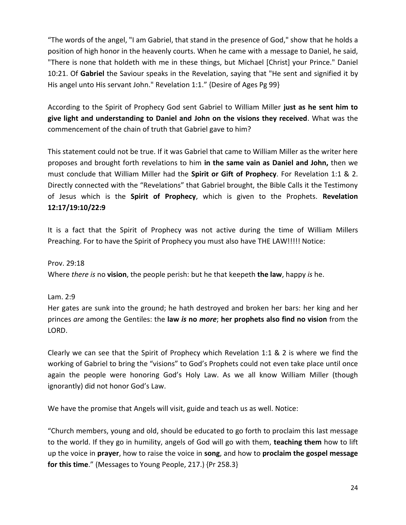"The words of the angel, "I am Gabriel, that stand in the presence of God," show that he holds a position of high honor in the heavenly courts. When he came with a message to Daniel, he said, "There is none that holdeth with me in these things, but Michael [Christ] your Prince." Daniel 10:21. Of **Gabriel** the Saviour speaks in the Revelation, saying that "He sent and signified it by His angel unto His servant John." Revelation 1:1." {Desire of Ages Pg 99}

According to the Spirit of Prophecy God sent Gabriel to William Miller **just as he sent him to give light and understanding to Daniel and John on the visions they received**. What was the commencement of the chain of truth that Gabriel gave to him?

This statement could not be true. If it was Gabriel that came to William Miller as the writer here proposes and brought forth revelations to him **in the same vain as Daniel and John,** then we must conclude that William Miller had the **Spirit or Gift of Prophecy**. For Revelation 1:1 & 2. Directly connected with the "Revelations" that Gabriel brought, the Bible Calls it the Testimony of Jesus which is the **Spirit of Prophecy**, which is given to the Prophets. **Revelation 12:17/19:10/22:9**

It is a fact that the Spirit of Prophecy was not active during the time of William Millers Preaching. For to have the Spirit of Prophecy you must also have THE LAW!!!!! Notice:

#### Prov. 29:18

Where *there is* no **vision**, the people perish: but he that keepeth **the law**, happy *is* he.

#### Lam. 2:9

Her gates are sunk into the ground; he hath destroyed and broken her bars: her king and her princes *are* among the Gentiles: the **law** *is* **no** *more*; **her prophets also find no vision** from the LORD.

Clearly we can see that the Spirit of Prophecy which Revelation 1:1 & 2 is where we find the working of Gabriel to bring the "visions" to God's Prophets could not even take place until once again the people were honoring God's Holy Law. As we all know William Miller (though ignorantly) did not honor God's Law.

We have the promise that Angels will visit, guide and teach us as well. Notice:

"Church members, young and old, should be educated to go forth to proclaim this last message to the world. If they go in humility, angels of God will go with them, **teaching them** how to lift up the voice in **prayer**, how to raise the voice in **song**, and how to **proclaim the gospel message for this time**." (Messages to Young People, 217.) {Pr 258.3}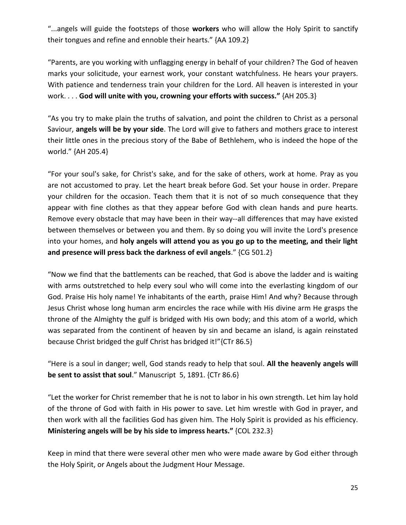"...angels will guide the footsteps of those **workers** who will allow the Holy Spirit to sanctify their tongues and refine and ennoble their hearts." {AA 109.2}

"Parents, are you working with unflagging energy in behalf of your children? The God of heaven marks your solicitude, your earnest work, your constant watchfulness. He hears your prayers. With patience and tenderness train your children for the Lord. All heaven is interested in your work. . . . **God will unite with you, crowning your efforts with success."** {AH 205.3}

"As you try to make plain the truths of salvation, and point the children to Christ as a personal Saviour, **angels will be by your side**. The Lord will give to fathers and mothers grace to interest their little ones in the precious story of the Babe of Bethlehem, who is indeed the hope of the world." {AH 205.4}

"For your soul's sake, for Christ's sake, and for the sake of others, work at home. Pray as you are not accustomed to pray. Let the heart break before God. Set your house in order. Prepare your children for the occasion. Teach them that it is not of so much consequence that they appear with fine clothes as that they appear before God with clean hands and pure hearts. Remove every obstacle that may have been in their way--all differences that may have existed between themselves or between you and them. By so doing you will invite the Lord's presence into your homes, and **holy angels will attend you as you go up to the meeting, and their light and presence will press back the darkness of evil angels**." {CG 501.2}

"Now we find that the battlements can be reached, that God is above the ladder and is waiting with arms outstretched to help every soul who will come into the everlasting kingdom of our God. Praise His holy name! Ye inhabitants of the earth, praise Him! And why? Because through Jesus Christ whose long human arm encircles the race while with His divine arm He grasps the throne of the Almighty the gulf is bridged with His own body; and this atom of a world, which was separated from the continent of heaven by sin and became an island, is again reinstated because Christ bridged the gulf Christ has bridged it!"{CTr 86.5}

"Here is a soul in danger; well, God stands ready to help that soul. **All the heavenly angels will be sent to assist that soul**." Manuscript 5, 1891. {CTr 86.6}

"Let the worker for Christ remember that he is not to labor in his own strength. Let him lay hold of the throne of God with faith in His power to save. Let him wrestle with God in prayer, and then work with all the facilities God has given him. The Holy Spirit is provided as his efficiency. **Ministering angels will be by his side to impress hearts."** {COL 232.3}

Keep in mind that there were several other men who were made aware by God either through the Holy Spirit, or Angels about the Judgment Hour Message.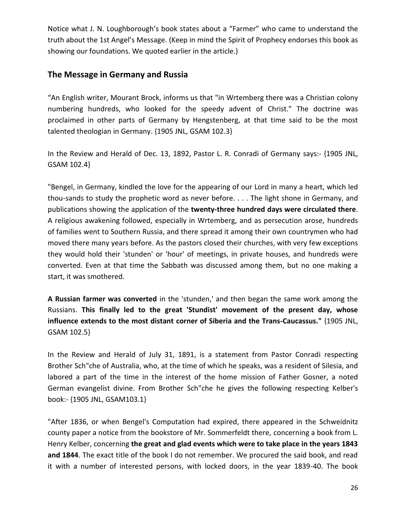Notice what J. N. Loughborough's book states about a "Farmer" who came to understand the truth about the 1st Angel's Message. (Keep in mind the Spirit of Prophecy endorses this book as showing our foundations. We quoted earlier in the article.)

#### **The Message in Germany and Russia**

"An English writer, Mourant Brock, informs us that "in Wrtemberg there was a Christian colony numbering hundreds, who looked for the speedy advent of Christ." The doctrine was proclaimed in other parts of Germany by Hengstenberg, at that time said to be the most talented theologian in Germany. {1905 JNL, GSAM 102.3}

In the Review and Herald of Dec. 13, 1892, Pastor L. R. Conradi of Germany says:- {1905 JNL, GSAM 102.4}

"Bengel, in Germany, kindled the love for the appearing of our Lord in many a heart, which led thou-sands to study the prophetic word as never before. . . . The light shone in Germany, and publications showing the application of the **twenty-three hundred days were circulated there**. A religious awakening followed, especially in Wrtemberg, and as persecution arose, hundreds of families went to Southern Russia, and there spread it among their own countrymen who had moved there many years before. As the pastors closed their churches, with very few exceptions they would hold their 'stunden' or 'hour' of meetings, in private houses, and hundreds were converted. Even at that time the Sabbath was discussed among them, but no one making a start, it was smothered.

**A Russian farmer was converted** in the 'stunden,' and then began the same work among the Russians. **This finally led to the great 'Stundist' movement of the present day, whose influence extends to the most distant corner of Siberia and the Trans-Caucassus."** {1905 JNL, GSAM 102.5}

In the Review and Herald of July 31, 1891, is a statement from Pastor Conradi respecting Brother Sch"che of Australia, who, at the time of which he speaks, was a resident of Silesia, and labored a part of the time in the interest of the home mission of Father Gosner, a noted German evangelist divine. From Brother Sch"che he gives the following respecting Kelber's book:- {1905 JNL, GSAM103.1}

"After 1836, or when Bengel's Computation had expired, there appeared in the Schweidnitz county paper a notice from the bookstore of Mr. Sommerfeldt there, concerning a book from L. Henry Kelber, concerning **the great and glad events which were to take place in the years 1843 and 1844**. The exact title of the book I do not remember. We procured the said book, and read it with a number of interested persons, with locked doors, in the year 1839-40. The book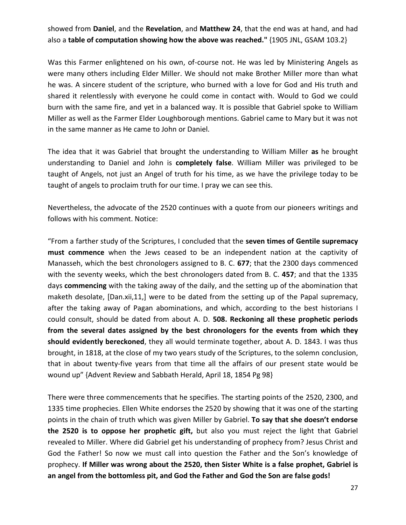showed from **Daniel**, and the **Revelation**, and **Matthew 24**, that the end was at hand, and had also a **table of computation showing how the above was reached."** {1905 JNL, GSAM 103.2}

Was this Farmer enlightened on his own, of-course not. He was led by Ministering Angels as were many others including Elder Miller. We should not make Brother Miller more than what he was. A sincere student of the scripture, who burned with a love for God and His truth and shared it relentlessly with everyone he could come in contact with. Would to God we could burn with the same fire, and yet in a balanced way. It is possible that Gabriel spoke to William Miller as well as the Farmer Elder Loughborough mentions. Gabriel came to Mary but it was not in the same manner as He came to John or Daniel.

The idea that it was Gabriel that brought the understanding to William Miller **as** he brought understanding to Daniel and John is **completely false**. William Miller was privileged to be taught of Angels, not just an Angel of truth for his time, as we have the privilege today to be taught of angels to proclaim truth for our time. I pray we can see this.

Nevertheless, the advocate of the 2520 continues with a quote from our pioneers writings and follows with his comment. Notice:

"From a farther study of the Scriptures, I concluded that the **seven times of Gentile supremacy must commence** when the Jews ceased to be an independent nation at the captivity of Manasseh, which the best chronologers assigned to B. C. **677**; that the 2300 days commenced with the seventy weeks, which the best chronologers dated from B. C. **457**; and that the 1335 days **commencing** with the taking away of the daily, and the setting up of the abomination that maketh desolate, [Dan.xii,11,] were to be dated from the setting up of the Papal supremacy, after the taking away of Pagan abominations, and which, according to the best historians I could consult, should be dated from about A. D. **508. Reckoning all these prophetic periods from the several dates assigned by the best chronologers for the events from which they should evidently bereckoned**, they all would terminate together, about A. D. 1843. I was thus brought, in 1818, at the close of my two years study of the Scriptures, to the solemn conclusion, that in about twenty-five years from that time all the affairs of our present state would be wound up" {Advent Review and Sabbath Herald, April 18, 1854 Pg 98}

There were three commencements that he specifies. The starting points of the 2520, 2300, and 1335 time prophecies. Ellen White endorses the 2520 by showing that it was one of the starting points in the chain of truth which was given Miller by Gabriel. **To say that she doesn't endorse the 2520 is to oppose her prophetic gift,** but also you must reject the light that Gabriel revealed to Miller. Where did Gabriel get his understanding of prophecy from? Jesus Christ and God the Father! So now we must call into question the Father and the Son's knowledge of prophecy. **If Miller was wrong about the 2520, then Sister White is a false prophet, Gabriel is an angel from the bottomless pit, and God the Father and God the Son are false gods!**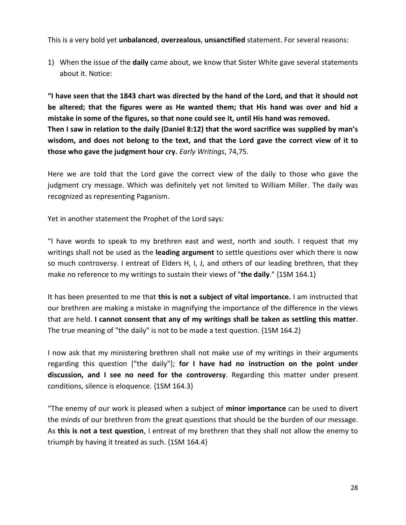This is a very bold yet **unbalanced**, **overzealous**, **unsanctified** statement. For several reasons:

1) When the issue of the **daily** came about, we know that Sister White gave several statements about it. Notice:

**"I have seen that the 1843 chart was directed by the hand of the Lord, and that it should not be altered; that the figures were as He wanted them; that His hand was over and hid a mistake in some of the figures, so that none could see it, until His hand was removed. Then I saw in relation to the daily (Daniel 8:12) that the word sacrifice was supplied by man's wisdom, and does not belong to the text, and that the Lord gave the correct view of it to those who gave the judgment hour cry.** *Early Writings*, 74,75.

Here we are told that the Lord gave the correct view of the daily to those who gave the judgment cry message. Which was definitely yet not limited to William Miller. The daily was recognized as representing Paganism.

Yet in another statement the Prophet of the Lord says:

"I have words to speak to my brethren east and west, north and south. I request that my writings shall not be used as the **leading argument** to settle questions over which there is now so much controversy. I entreat of Elders H, I, J, and others of our leading brethren, that they make no reference to my writings to sustain their views of "**the daily**." {1SM 164.1}

It has been presented to me that **this is not a subject of vital importance.** I am instructed that our brethren are making a mistake in magnifying the importance of the difference in the views that are held. **I cannot consent that any of my writings shall be taken as settling this matter**. The true meaning of "the daily" is not to be made a test question. {1SM 164.2}

I now ask that my ministering brethren shall not make use of my writings in their arguments regarding this question ["the daily"]; **for I have had no instruction on the point under discussion, and I see no need for the controversy**. Regarding this matter under present conditions, silence is eloquence. {1SM 164.3}

"The enemy of our work is pleased when a subject of **minor importance** can be used to divert the minds of our brethren from the great questions that should be the burden of our message. As **this is not a test question**, I entreat of my brethren that they shall not allow the enemy to triumph by having it treated as such. {1SM 164.4}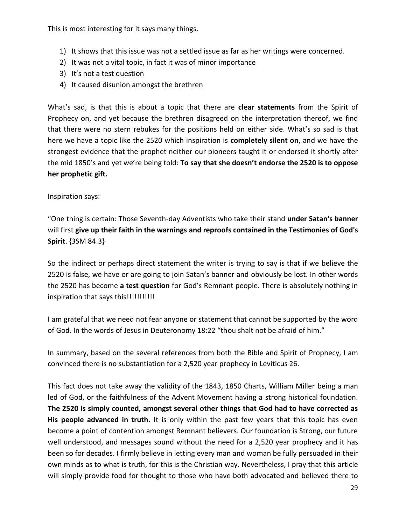This is most interesting for it says many things.

- 1) It shows that this issue was not a settled issue as far as her writings were concerned.
- 2) It was not a vital topic, in fact it was of minor importance
- 3) It's not a test question
- 4) It caused disunion amongst the brethren

What's sad, is that this is about a topic that there are **clear statements** from the Spirit of Prophecy on, and yet because the brethren disagreed on the interpretation thereof, we find that there were no stern rebukes for the positions held on either side. What's so sad is that here we have a topic like the 2520 which inspiration is **completely silent on**, and we have the strongest evidence that the prophet neither our pioneers taught it or endorsed it shortly after the mid 1850's and yet we're being told: **To say that she doesn't endorse the 2520 is to oppose her prophetic gift.**

Inspiration says:

"One thing is certain: Those Seventh-day Adventists who take their stand **under Satan's banner**  will first **give up their faith in the warnings and reproofs contained in the Testimonies of God's Spirit**. {3SM 84.3}

So the indirect or perhaps direct statement the writer is trying to say is that if we believe the 2520 is false, we have or are going to join Satan's banner and obviously be lost. In other words the 2520 has become **a test question** for God's Remnant people. There is absolutely nothing in inspiration that says this!!!!!!!!!!!!!

I am grateful that we need not fear anyone or statement that cannot be supported by the word of God. In the words of Jesus in Deuteronomy 18:22 "thou shalt not be afraid of him."

In summary, based on the several references from both the Bible and Spirit of Prophecy, I am convinced there is no substantiation for a 2,520 year prophecy in Leviticus 26.

This fact does not take away the validity of the 1843, 1850 Charts, William Miller being a man led of God, or the faithfulness of the Advent Movement having a strong historical foundation. **The 2520 is simply counted, amongst several other things that God had to have corrected as**  His people advanced in truth. It is only within the past few years that this topic has even become a point of contention amongst Remnant believers. Our foundation is Strong, our future well understood, and messages sound without the need for a 2,520 year prophecy and it has been so for decades. I firmly believe in letting every man and woman be fully persuaded in their own minds as to what is truth, for this is the Christian way. Nevertheless, I pray that this article will simply provide food for thought to those who have both advocated and believed there to